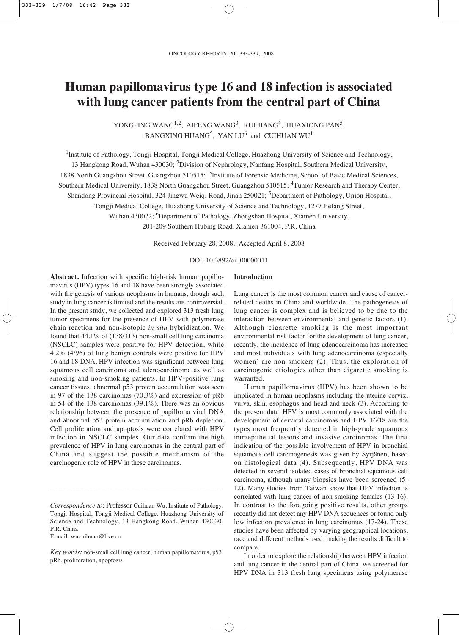# **Human papillomavirus type 16 and 18 infection is associated with lung cancer patients from the central part of China**

YONGPING WANG<sup>1,2</sup>, AIFENG WANG<sup>3</sup>, RUI JIANG<sup>4</sup>, HUAXIONG PAN<sup>5</sup>, BANGXING HUANG<sup>5</sup>, YAN LU<sup>6</sup> and CUIHUAN WU<sup>1</sup>

<sup>1</sup>Institute of Pathology, Tongji Hospital, Tongji Medical College, Huazhong University of Science and Technology, 13 Hangkong Road, Wuhan 430030; 2Division of Nephrology, Nanfang Hospital, Southern Medical University, 1838 North Guangzhou Street, Guangzhou 510515; <sup>3</sup>Institute of Forensic Medicine, School of Basic Medical Sciences, Southern Medical University, 1838 North Guangzhou Street, Guangzhou 510515; <sup>4</sup>Tumor Research and Therapy Center, Shandong Provincial Hospital, 324 Jingwu Weiqi Road, Jinan 250021; <sup>5</sup>Department of Pathology, Union Hospital, Tongji Medical College, Huazhong University of Science and Technology, 1277 Jiefang Street, Wuhan 430022; <sup>6</sup>Department of Pathology, Zhongshan Hospital, Xiamen University,

201-209 Southern Hubing Road, Xiamen 361004, P.R. China

Received February 28, 2008; Accepted April 8, 2008

## DOI: 10.3892/or\_00000011

**Abstract.** Infection with specific high-risk human papillomavirus (HPV) types 16 and 18 have been strongly associated with the genesis of various neoplasms in humans, though such study in lung cancer is limited and the results are controversial. In the present study, we collected and explored 313 fresh lung tumor specimens for the presence of HPV with polymerase chain reaction and non-isotopic *in situ* hybridization. We found that 44.1% of (138/313) non-small cell lung carcinoma (NSCLC) samples were positive for HPV detection, while 4.2% (4/96) of lung benign controls were positive for HPV 16 and 18 DNA. HPV infection was significant between lung squamous cell carcinoma and adenocarcinoma as well as smoking and non-smoking patients. In HPV-positive lung cancer tissues, abnormal p53 protein accumulation was seen in 97 of the 138 carcinomas (70.3%) and expression of pRb in 54 of the 138 carcinomas (39.1%). There was an obvious relationship between the presence of papilloma viral DNA and abnormal p53 protein accumulation and pRb depletion. Cell proliferation and apoptosis were correlated with HPV infection in NSCLC samples. Our data confirm the high prevalence of HPV in lung carcinomas in the central part of China and suggest the possible mechanism of the carcinogenic role of HPV in these carcinomas.

\_\_\_\_\_\_\_\_\_\_\_\_\_\_\_\_\_\_\_\_\_\_\_\_\_\_\_\_\_\_\_\_\_\_\_\_\_\_\_\_\_

E-mail: wucuihuan@live.cn

## **Introduction**

Lung cancer is the most common cancer and cause of cancerrelated deaths in China and worldwide. The pathogenesis of lung cancer is complex and is believed to be due to the interaction between environmental and genetic factors (1). Although cigarette smoking is the most important environmental risk factor for the development of lung cancer, recently, the incidence of lung adenocarcinoma has increased and most individuals with lung adenocarcinoma (especially women) are non-smokers (2). Thus, the exploration of carcinogenic etiologies other than cigarette smoking is warranted.

Human papillomavirus (HPV) has been shown to be implicated in human neoplasms including the uterine cervix, vulva, skin, esophagus and head and neck (3). According to the present data, HPV is most commonly associated with the development of cervical carcinomas and HPV 16/18 are the types most frequently detected in high-grade squamous intraepithelial lesions and invasive carcinomas. The first indication of the possible involvement of HPV in bronchial squamous cell carcinogenesis was given by Syrjänen, based on histological data (4). Subsequently, HPV DNA was detected in several isolated cases of bronchial squamous cell carcinoma, although many biopsies have been screened (5- 12). Many studies from Taiwan show that HPV infection is correlated with lung cancer of non-smoking females (13-16). In contrast to the foregoing positive results, other groups recently did not detect any HPV DNA sequences or found only low infection prevalence in lung carcinomas (17-24). These studies have been affected by varying geographical locations, race and different methods used, making the results difficult to compare.

In order to explore the relationship between HPV infection and lung cancer in the central part of China, we screened for HPV DNA in 313 fresh lung specimens using polymerase

*Correspondence to*: Professor Cuihuan Wu, Institute of Pathology, Tongji Hospital, Tongji Medical College, Huazhong University of Science and Technology, 13 Hangkong Road, Wuhan 430030, P.R. China

*Key words:* non-small cell lung cancer, human papillomavirus, p53, pRb, proliferation, apoptosis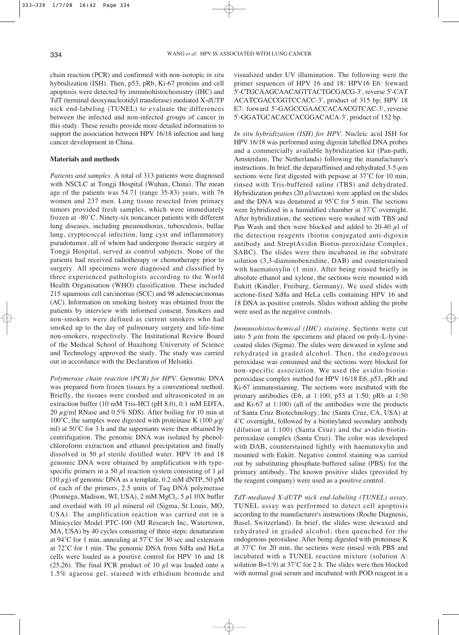chain reaction (PCR) and confirmed with non-isotopic *in situ* hybridization (ISH). Then, p53, pRb, Ki-67 proteins and cell apoptosis were detected by immunohistochemistry (IHC) and TdT (terminal deoxynucleotidyl transferase) mediated X-dUTP nick end-labeling (TUNEL) to evaluate the differences between the infected and non-infected groups of cancer in this study. These results provide more detailed information to support the association between HPV 16/18 infection and lung cancer development in China.

#### **Materials and methods**

*Patients and samples*. A total of 313 patients were diagnosed with NSCLC at Tongji Hospital (Wuhan, China). The mean age of the patients was 54.71 (range 35-83) years, with 76 women and 237 men. Lung tissue resected from primary tumors provided fresh samples, which were immediately frozen at -80˚C. Ninety-six noncancer patients with different lung diseases, including pneumothorax, tuberculosis, bullae lung, cryptococcal infection, lung cyst and inflammatory pseudotumor, all of whom had undergone thoracic surgery at Tongji Hospital, served as control subjects. None of the patients had received radiotherapy or chemotherapy prior to surgery. All specimens were diagnosed and classified by three experienced pathologists according to the World Health Organisation (WHO) classification. These included 215 squamous cell carcinomas (SCC) and 98 adenocarcinomas (AC). Information on smoking history was obtained from the patients by interview with informed consent. Smokers and non-smokers were defined as current smokers who had smoked up to the day of pulmonary surgery and life-time non-smokers, respectively. The Institutional Review Board of the Medical School of Huazhong University of Science and Technology approved the study. The study was carried out in accordance with the Declaration of Helsinki.

*Polymerase chain reaction (PCR) for HPV*. Genomic DNA was prepared from frozen tissues by a conventional method. Briefly, the tissues were crushed and ultrasonicated in an extraction buffer (10 mM Tris-HCl (pH 8.0), 0.1 mM EDTA, 20  $\mu$ g/ml RNase and 0.5% SDS). After boiling for 10 min at 100°C, the samples were digested with proteinase K (100  $\mu$ g/ ml) at 50˚C for 3 h and the supernants were then obtained by centrifugation. The genomic DNA was isolated by phenolchloroform extraction and ethanol precipitation and finally dissolved in 50  $\mu$ l sterile distilled water. HPV 16 and 18 genomic DNA were obtained by amplification with typespecific primers in a 50  $\mu$ l reaction system consisting of 1  $\mu$ l  $(10 \,\mu$ g) of genomic DNA as a template, 0.2 mM dNTP, 50 pM of each of the primers, 2.5 units of Taq DNA polymerase (Promega, Madison, WI, USA), 2 mM  $MgCl_2$ , 5  $\mu$ 1 10X buffer and overlaid with 10  $\mu$ l mineral oil (Sigma, St Louis, MO, USA). The amplification reaction was carried out in a Minicycler Model PTC-100 (MJ Research Inc, Watertown, MA, USA) by 40 cycles consisting of three steps: denaturation at 94˚C for 1 min, annealing at 57˚C for 30 sec and extension at 72˚C for 1 min. The genomic DNA from SiHa and HeLa cells were loaded as a positive control for HPV 16 and 18 (25,26). The final PCR product of 10  $\mu$ l was loaded onto a 1.5% agarose gel, stained with ethidium bromide and visualized under UV illumination. The following were the primer sequences of HPV 16 and 18: HPV16 E6: forward 5'-CTGCAAGCAACAGTTACTGCGACG-3', reverse 5'-CAT ACATCGACCGGTCCACC-3', product of 315 bp; HPV 18 E7: forward 5'-GAGCCGAACCACAACGTCAC-3', reverse 5'-GGATGCACACCACGGACACA-3', product of 152 bp.

*In situ hybridization (ISH) for HPV*. Nucleic acid ISH for HPV 16/18 was performed using digoxin labelled DNA probes and a commercially available hybridization kit (Pan-path, Amsterdam, The Netherlands) following the manufacturer's instructions. In brief, the deparaffinised and rehydrated  $3-5-\mu m$ sections were first digested with pepsase at 37˚C for 10 min, rinsed with Tris-buffered saline (TBS) and dehydrated. Hybridization probes (20  $\mu$ 1/section) were applied on the slides and the DNA was denatured at 95˚C for 5 min. The sections were hybridized in a humidified chamber at 37˚C overnight. After hybridization, the sections were washed with TBS and Pan Wash and then were blocked and added to 20-40  $\mu$ l of the detection reagents (biotin conjugated anti-digoxin antibody and StreptAvidin Biotin-peroxidase Complex, SABC). The slides were then incubated in the substrate solution (3,3-diaminobenzidine, DAB) and counterstained with haematoxylin (1 min). After being rinsed briefly in absolute ethanol and xylene, the sections were mounted with Eukitt (Kindler, Freiburg, Germany). We used slides with acetone-fixed SiHa and HeLa cells containing HPV 16 and 18 DNA as positive controls. Slides without adding the probe were used as the negative controls.

*Immunohistochemical (IHC) staining*. Sections were cut into 5  $\mu$ m from the specimens and placed on poly-L-lysinecoated slides (Sigma). The slides were dewaxed in xylene and rehydrated in graded alcohol. Then, the endogenous peroxidase was consumed and the sections were blocked for non-specific association. We used the avidin-biotinperoxidase complex method for HPV 16/18 E6, p53, pRb and Ki-67 immunostaining. The sections were incubated with the primary antibodies (E6, at 1:100; p53 at 1:50; pRb at 1:50 and Ki-67 at 1:100) (all of the antibodies were the products of Santa Cruz Biotechnology, Inc (Santa Cruz, CA, USA) at 4˚C overnight, followed by a biotinylated secondary antibody (dilution at 1:100) (Santa Cruz) and the avidin-biotinperoxidase complex (Santa Cruz). The color was developed with DAB, counterstained lightly with haematoxylin and mounted with Eukitt. Negative control staining was carried out by substituting phosphate-buffered saline (PBS) for the primary antibody. The known positive slides (provided by the reagent company) were used as a positive control.

*TdT-mediated X-dUTP nick end-labeling (TUNEL) assay*. TUNEL assay was performed to detect cell apoptosis according to the manufacturer's instructions (Roche Diagnosis, Basel, Switzerland). In brief, the slides were dewaxed and rehydrated in graded alcohol, then quenched for the endogenous peroxidase. After being digested with proteinase K at 37˚C for 20 min, the sections were rinsed with PBS and incubated with a TUNEL reaction mixture (solution A: solution B=1:9) at 37˚C for 2 h. The slides were then blocked with normal goat serum and incubated with POD reagent in a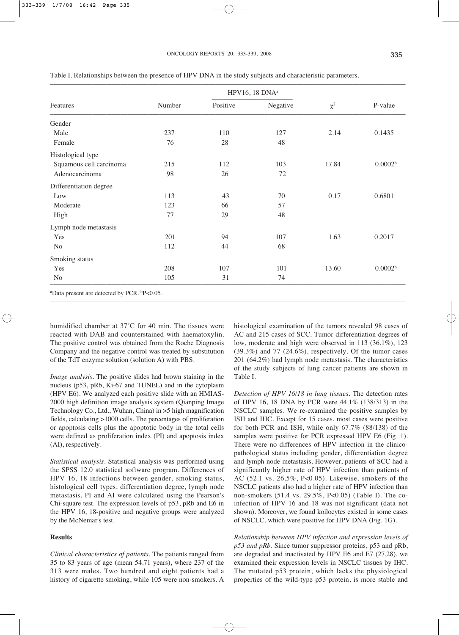|                         |        | HPV16, 18 DNA <sup>a</sup> |          |          |                     |
|-------------------------|--------|----------------------------|----------|----------|---------------------|
| Features                | Number | Positive                   | Negative | $\chi^2$ | P-value             |
| Gender                  |        |                            |          |          |                     |
| Male                    | 237    | 110                        | 127      | 2.14     | 0.1435              |
| Female                  | 76     | 28                         | 48       |          |                     |
| Histological type       |        |                            |          |          |                     |
| Squamous cell carcinoma | 215    | 112                        | 103      | 17.84    | 0.0002 <sup>b</sup> |
| Adenocarcinoma          | 98     | 26                         | 72       |          |                     |
| Differentiation degree  |        |                            |          |          |                     |
| Low                     | 113    | 43                         | 70       | 0.17     | 0.6801              |
| Moderate                | 123    | 66                         | 57       |          |                     |
| High                    | 77     | 29                         | 48       |          |                     |
| Lymph node metastasis   |        |                            |          |          |                     |
| Yes                     | 201    | 94                         | 107      | 1.63     | 0.2017              |
| N <sub>0</sub>          | 112    | 44                         | 68       |          |                     |
| Smoking status          |        |                            |          |          |                     |
| Yes                     | 208    | 107                        | 101      | 13.60    | 0.0002 <sup>b</sup> |
| N <sub>o</sub>          | 105    | 31                         | 74       |          |                     |

Table I. Relationships between the presence of HPV DNA in the study subjects and characteristic parameters.

humidified chamber at 37˚C for 40 min. The tissues were reacted with DAB and counterstained with haematoxylin. The positive control was obtained from the Roche Diagnosis Company and the negative control was treated by substitution of the TdT enzyme solution (solution A) with PBS.

*Image analysis*. The positive slides had brown staining in the nucleus (p53, pRb, Ki-67 and TUNEL) and in the cytoplasm (HPV E6). We analyzed each positive slide with an HMIAS-2000 high definition image analysis system (Qianping Image Technology Co., Ltd., Wuhan, China) in >5 high magnification fields, calculating >1000 cells. The percentages of proliferation or apoptosis cells plus the apoptotic body in the total cells were defined as proliferation index (PI) and apoptosis index (AI), respectively.

*Statistical analysis*. Statistical analysis was performed using the SPSS 12.0 statistical software program. Differences of HPV 16, 18 infections between gender, smoking status, histological cell types, differentiation degree, lymph node metastasis, PI and AI were calculated using the Pearson's Chi-square test. The expression levels of p53, pRb and E6 in the HPV 16, 18-positive and negative groups were analyzed by the McNemar's test.

## **Results**

*Clinical characteristics of patients*. The patients ranged from 35 to 83 years of age (mean 54.71 years), where 237 of the 313 were males. Two hundred and eight patients had a history of cigarette smoking, while 105 were non-smokers. A

histological examination of the tumors revealed 98 cases of AC and 215 cases of SCC. Tumor differentiation degrees of low, moderate and high were observed in 113 (36.1%), 123 (39.3%) and 77 (24.6%), respectively. Of the tumor cases 201 (64.2%) had lymph node metastasis. The characteristics of the study subjects of lung cancer patients are shown in Table I.

*Detection of HPV 16/18 in lung tissues*. The detection rates of HPV 16, 18 DNA by PCR were 44.1% (138/313) in the NSCLC samples. We re-examined the positive samples by ISH and IHC. Except for 15 cases, most cases were positive for both PCR and ISH, while only 67.7% (88/138) of the samples were positive for PCR expressed HPV E6 (Fig. 1). There were no differences of HPV infection in the clinicopathological status including gender, differentiation degree and lymph node metastasis. However, patients of SCC had a significantly higher rate of HPV infection than patients of AC (52.1 vs. 26.5%, P<0.05). Likewise, smokers of the NSCLC patients also had a higher rate of HPV infection than non-smokers (51.4 vs. 29.5%, P<0.05) (Table I). The coinfection of HPV 16 and 18 was not significant (data not shown). Moreover, we found koilocytes existed in some cases of NSCLC, which were positive for HPV DNA (Fig. 1G).

*Relationship between HPV infection and expression levels of p53 and pRb*. Since tumor suppressor proteins, p53 and pRb, are degraded and inactivated by HPV E6 and E7 (27,28), we examined their expression levels in NSCLC tissues by IHC. The mutated p53 protein, which lacks the physiological properties of the wild-type p53 protein, is more stable and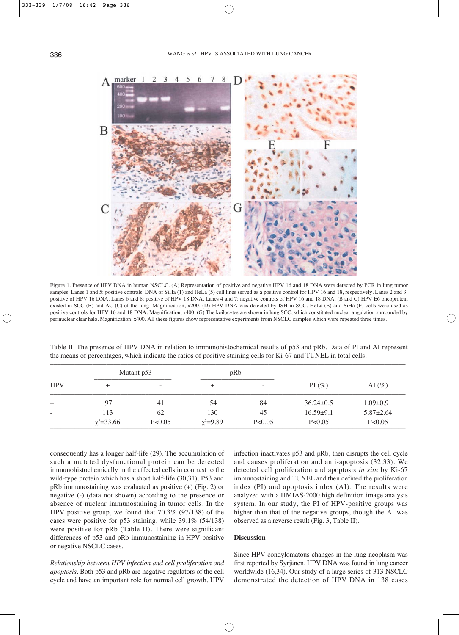

Figure 1. Presence of HPV DNA in human NSCLC. (A) Representation of positive and negative HPV 16 and 18 DNA were detected by PCR in lung tumor samples. Lanes 1 and 5: positive controls. DNA of SiHa (1) and HeLa (5) cell lines served as a positive control for HPV 16 and 18, respectively. Lanes 2 and 3: positive of HPV 16 DNA. Lanes 6 and 8: positive of HPV 18 DNA. Lanes 4 and 7: negative controls of HPV 16 and 18 DNA. (B and C) HPV E6 oncoprotein existed in SCC (B) and AC (C) of the lung. Magnification, x200. (D) HPV DNA was detected by ISH in SCC. HeLa (E) and SiHa (F) cells were used as positive controls for HPV 16 and 18 DNA. Magnification, x400. (G) The koilocytes are shown in lung SCC, which constituted nuclear angulation surrounded by perinuclear clear halo. Magnification, x400. All these figures show representative experiments from NSCLC samples which were repeated three times.

| HPV            | Mutant p53       |          | pRb             |                          |                 |                 |
|----------------|------------------|----------|-----------------|--------------------------|-----------------|-----------------|
|                | $\pm$            | ۰        | $\pm$           | $\overline{\phantom{a}}$ | $PI(\%)$        | AI $(\% )$      |
| $\overline{+}$ | 97               | 41       | 54              | 84                       | $36.24 \pm 0.5$ | $1.09 \pm 0.9$  |
|                | 113              | 62       | 130             | 45                       | $16.59 \pm 9.1$ | $5.87 \pm 2.64$ |
|                | $\chi^2 = 33.66$ | P < 0.05 | $\chi^2 = 9.89$ | P < 0.05                 | P < 0.05        | P < 0.05        |

Table II. The presence of HPV DNA in relation to immunohistochemical results of p53 and pRb. Data of PI and AI represent the means of percentages, which indicate the ratios of positive staining cells for Ki-67 and TUNEL in total cells.

consequently has a longer half-life (29). The accumulation of such a mutated dysfunctional protein can be detected immunohistochemically in the affected cells in contrast to the wild-type protein which has a short half-life (30,31). P53 and pRb immunostaining was evaluated as positive (+) (Fig. 2) or negative (-) (data not shown) according to the presence or absence of nuclear immunostaining in tumor cells. In the HPV positive group, we found that 70.3% (97/138) of the cases were positive for p53 staining, while 39.1% (54/138) were positive for pRb (Table II). There were significant differences of p53 and pRb immunostaining in HPV-positive or negative NSCLC cases.

*Relationship between HPV infection and cell proliferation and apoptosis*. Both p53 and pRb are negative regulators of the cell cycle and have an important role for normal cell growth. HPV infection inactivates p53 and pRb, then disrupts the cell cycle and causes proliferation and anti-apoptosis (32,33). We detected cell proliferation and apoptosis *in situ* by Ki-67 immunostaining and TUNEL and then defined the proliferation index (PI) and apoptosis index (AI). The results were analyzed with a HMIAS-2000 high definition image analysis system. In our study, the PI of HPV-positive groups was higher than that of the negative groups, though the AI was observed as a reverse result (Fig. 3, Table II).

## **Discussion**

Since HPV condylomatous changes in the lung neoplasm was first reported by Syrjänen, HPV DNA was found in lung cancer worldwide (16,34). Our study of a large series of 313 NSCLC demonstrated the detection of HPV DNA in 138 cases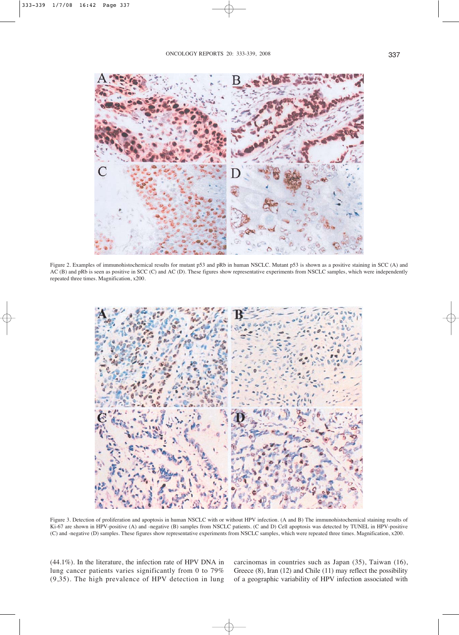

Figure 2. Examples of immunohistochemical results for mutant p53 and pRb in human NSCLC. Mutant p53 is shown as a positive staining in SCC (A) and AC (B) and pRb is seen as positive in SCC (C) and AC (D). These figures show representative experiments from NSCLC samples, which were independently repeated three times. Magnification, x200.



Figure 3. Detection of proliferation and apoptosis in human NSCLC with or without HPV infection. (A and B) The immunohistochemical staining results of Ki-67 are shown in HPV-positive (A) and -negative (B) samples from NSCLC patients. (C and D) Cell apoptosis was detected by TUNEL in HPV-positive (C) and -negative (D) samples. These figures show representative experiments from NSCLC samples, which were repeated three times. Magnification, x200.

(44.1%). In the literature, the infection rate of HPV DNA in lung cancer patients varies significantly from 0 to 79% (9,35). The high prevalence of HPV detection in lung carcinomas in countries such as Japan (35), Taiwan (16), Greece (8), Iran (12) and Chile (11) may reflect the possibility of a geographic variability of HPV infection associated with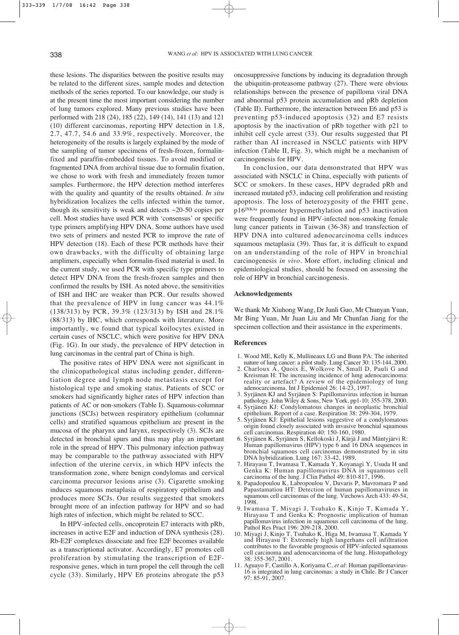these lesions. The disparities between the positive results may be related to the different sizes, sample modes and detection methods of the series reported. To our knowledge, our study is at the present time the most important considering the number of lung tumors explored. Many previous studies have been performed with 218 (24), 185 (22), 149 (14), 141 (13) and 121 (10) different carcinomas, reporting HPV detection in 1.8, 2.7, 47.7, 54.6 and 33.9%, respectively. Moreover, the heterogeneity of the results is largely explained by the mode of the sampling of tumor specimens of fresh-frozen, formalinfixed and paraffin-embedded tissues. To avoid modified or fragmented DNA from archival tissue due to formalin fixation, we chose to work with fresh and immediately frozen tumor samples. Furthermore, the HPV detection method interferes with the quality and quantity of the results obtained. *In situ* hybridization localizes the cells infected within the tumor, though its sensitivity is weak and detects  $\sim$ 20-50 copies per cell. Most studies have used PCR with 'consensus' or specific type primers amplifying HPV DNA. Some authors have used two sets of primers and nested PCR to improve the rate of HPV detection (18). Each of these PCR methods have their own drawbacks, with the difficulty of obtaining large amplimers, especially when formalin-fixed material is used. In the current study, we used PCR with specific type primers to detect HPV DNA from the fresh-frozen samples and then confirmed the results by ISH. As noted above, the sensitivities of ISH and IHC are weaker than PCR. Our results showed that the prevalence of HPV in lung cancer was 44.1% (138/313) by PCR, 39.3% (123/313) by ISH and 28.1% (88/313) by IHC, which corresponds with literature. More importantly, we found that typical koilocytes existed in certain cases of NSCLC, which were positive for HPV DNA (Fig. 1G). In our study, the prevalence of HPV detection in lung carcinomas in the central part of China is high.

The positive rates of HPV DNA were not significant in the clinicopathological status including gender, differentiation degree and lymph node metastasis except for histological type and smoking status. Patients of SCC or smokers had significantly higher rates of HPV infection than patients of AC or non-smokers (Table I). Squamous-columnar junctions (SCJs) between respiratory epithelium (columnar cells) and stratified squamous epithelium are present in the mucosa of the pharynx and larynx, respectively (3). SCJs are detected in bronchial spurs and thus may play an important role in the spread of HPV. This pulmonary infection pathway may be comparable to the pathway associated with HPV infection of the uterine cervix, in which HPV infects the transformation zone, where benign condylomas and cervical carcinoma precursor lesions arise (3). Cigarette smoking induces squamous metaplasia of respiratory epithelium and produces more SCJs. Our results suggested that smokers brought more of an infection pathway for HPV and so had high rates of infection, which might be related to SCC.

In HPV-infected cells, oncoprotein E7 interacts with pRb, increases in active E2F and induction of DNA synthesis (28). Rb-E2F complexes dissociate and free E2F becomes available as a transcriptional activator. Accordingly, E7 promotes cell proliferation by stimulating the transcription of E2Fresponsive genes, which in turn propel the cell through the cell cycle (33). Similarly, HPV E6 proteins abrogate the p53

oncosuppressive functions by inducing its degradation through the ubiquitin-proteasome pathway (27). There were obvious relationships between the presence of papilloma viral DNA and abnormal p53 protein accumulation and pRb depletion (Table II). Furthermore, the interaction between E6 and p53 is preventing p53-induced apoptosis (32) and E7 resists apoptosis by the inactivation of pRb together with p21 to inhibit cell cycle arrest (33). Our results suggested that PI rather than AI increased in NSCLC patients with HPV infection (Table II, Fig. 3), which might be a mechanism of carcinogenesis for HPV.

In conclusion, our data demonstrated that HPV was associated with NSCLC in China, especially with patients of SCC or smokers. In these cases, HPV degraded pRb and increased mutated p53, inducing cell proliferation and resisting apoptosis. The loss of heterozygosity of the FHIT gene, p16INK4a promoter hypermethylation and p53 inactivation were frequently found in HPV-infected non-smoking female lung cancer patients in Taiwan (36-38) and transfection of HPV DNA into cultured adenocarcinoma cells induces squamous metaplasia (39). Thus far, it is difficult to expand on an understanding of the role of HPV in bronchial carcinogenesis *in vivo*. More effort, including clinical and epidemiological studies, should be focused on assessing the role of HPV in bronchial carcinogenesis.

#### **Acknowledgements**

We thank Mr Xiuhong Wang, Dr Junli Guo, Mr Chunyan Yuan, Mr Bing Yuan, Mr Juan Liu and Mr Chunfan Jiang for the specimen collection and their assistance in the experiments.

#### **References**

- 1. Wood ME, Kelly K, Mullineaux LG and Bunn PA: The inherited nature of lung cancer: a pilot study. Lung Cancer 30: 135-144, 2000.
- 2. Charloux A, Quoix E, Wolkove N, Small D, Pauli G and Kreisman H: The increasing incidence of lung adenocarcinoma: reality or artefact? A review of the epidemiology of lung adenocarcinoma. Int J Epidemiol 26: 14-23, 1997.
- 3. Syrjänen KJ and Syrjänen S: Papillomavirus infection in human pathology. John Wiley & Sons, New York, pp1-10; 355-378, 2000.
- 4. Syrjänen KJ: Condylomatous changes in neoplastic bronchial epithelium. Report of a case. Respiration 38: 299-304, 1979.
- 5. Syrjänen KJ: Epithelial lesions suggestive of a condylomatous origin found closely associated with invasive bronchial squamous cell carcinomas. Respiration 40: 150-160, 1980.
- 6. Syrjänen K, Syrjänen S, Kellokoski J, Kärjä J and Mäntyjärvi R: Human papillomavirus (HPV) type 6 and 16 DNA sequences in bronchial squamous cell carcinomas demonstrated by in situ DNA hybridization. Lung 167: 33-42, 1989.
- 7. Hirayasu T, Iwamasa T, Kamada Y, Koyanagi Y, Usuda H and Genka K: Human papillomavirus DNA in squamous cell carcinoma of the lung. J Clin Pathol 49: 810-817, 1996.
- 8. Papadopoulou K, Labropoulou V, Davaris P, Mavromara P and Papastamatiou HT: Detection of human papillomaviruses in squamous cell carcinomas of the lung. Virchows Arch 433: 49-54, 1998.
- 9. Iwamasa T, Miyagi J, Tsuhako K, Kinjo T, Kamada Y, Hirayasu T and Genka K: Prognostic implication of human papillomavirus infection in squamous cell carcinoma of the lung. Pathol Res Pract 196: 209-218, 2000.
- 10. Miyagi J, Kinjo T, Tsuhako K, Higa M, Iwamasa T, Kamada Y and Hirayasu T: Extremely high langerhans cell infiltration contributes to the favorable prognosis of HPV-infected squamous cell carcinoma and adenocarcinoma of the lung. Histopathology 38: 355-367, 2001.
- 11. Aguayo F, Castillo A, Koriyama C, *et al*: Human papillomavirus-16 is integrated in lung carcinomas: a study in Chile. Br J Cancer 97: 85-91, 2007.